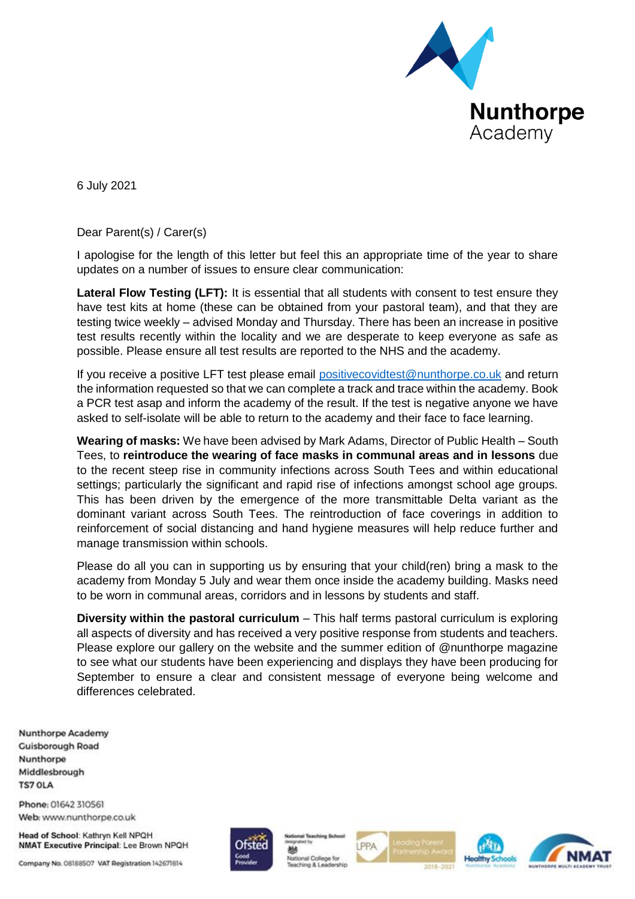

6 July 2021

Dear Parent(s) / Carer(s)

I apologise for the length of this letter but feel this an appropriate time of the year to share updates on a number of issues to ensure clear communication:

**Lateral Flow Testing (LFT):** It is essential that all students with consent to test ensure they have test kits at home (these can be obtained from your pastoral team), and that they are testing twice weekly – advised Monday and Thursday. There has been an increase in positive test results recently within the locality and we are desperate to keep everyone as safe as possible. Please ensure all test results are reported to the NHS and the academy.

If you receive a positive LFT test please email [positivecovidtest@nunthorpe.co.uk](mailto:positivecovidtest@nunthorpe.co.uk) and return the information requested so that we can complete a track and trace within the academy. Book a PCR test asap and inform the academy of the result. If the test is negative anyone we have asked to self-isolate will be able to return to the academy and their face to face learning.

**Wearing of masks:** We have been advised by Mark Adams, Director of Public Health – South Tees, to **reintroduce the wearing of face masks in communal areas and in lessons** due to the recent steep rise in community infections across South Tees and within educational settings; particularly the significant and rapid rise of infections amongst school age groups. This has been driven by the emergence of the more transmittable Delta variant as the dominant variant across South Tees. The reintroduction of face coverings in addition to reinforcement of social distancing and hand hygiene measures will help reduce further and manage transmission within schools.

Please do all you can in supporting us by ensuring that your child(ren) bring a mask to the academy from Monday 5 July and wear them once inside the academy building. Masks need to be worn in communal areas, corridors and in lessons by students and staff.

**Diversity within the pastoral curriculum** – This half terms pastoral curriculum is exploring all aspects of diversity and has received a very positive response from students and teachers. Please explore our gallery on the website and the summer edition of @nunthorpe magazine to see what our students have been experiencing and displays they have been producing for September to ensure a clear and consistent message of everyone being welcome and differences celebrated.

**Nunthorpe Academy Cuisborough Road** Nunthorpe Middlesbrough **TS7 OLA** 

Phone: 01642 310561 Web: www.nunthorpe.co.uk

Head of School: Kathryn Kell NPQH NMAT Executive Principal: Lee Brown NPQH

Company No. 08188507 VAT Registration 142671814



鶒 National College for PPA





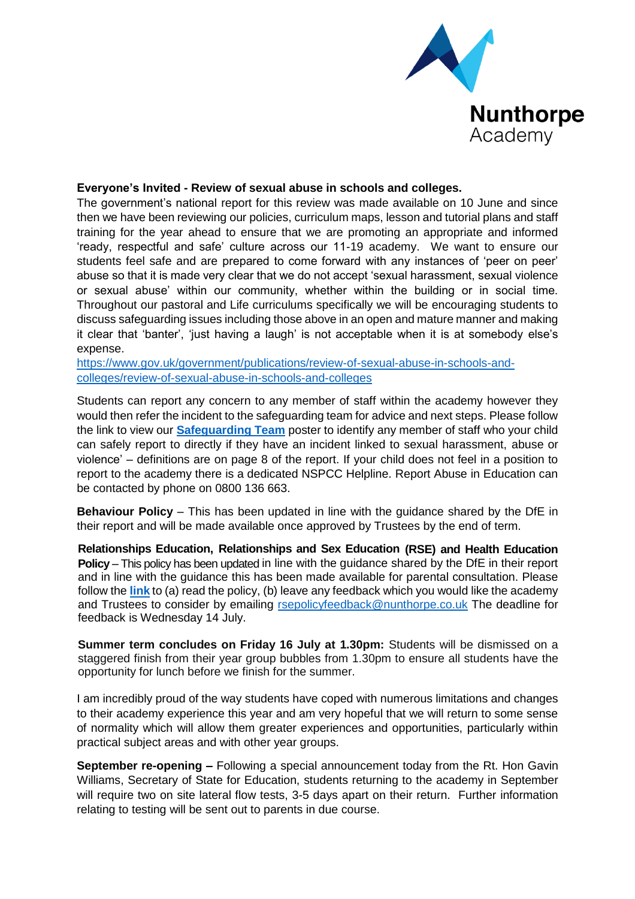

## **Everyone's Invited - Review of sexual abuse in schools and colleges.**

The government's national report for this review was made available on 10 June and since then we have been reviewing our policies, curriculum maps, lesson and tutorial plans and staff training for the year ahead to ensure that we are promoting an appropriate and informed 'ready, respectful and safe' culture across our 11-19 academy. We want to ensure our students feel safe and are prepared to come forward with any instances of 'peer on peer' abuse so that it is made very clear that we do not accept 'sexual harassment, sexual violence or sexual abuse' within our community, whether within the building or in social time. Throughout our pastoral and Life curriculums specifically we will be encouraging students to discuss safeguarding issues including those above in an open and mature manner and making it clear that 'banter', 'just having a laugh' is not acceptable when it is at somebody else's expense.

[https://www.gov.uk/government/publications/review-of-sexual-abuse-in-schools-and](https://www.gov.uk/government/publications/review-of-sexual-abuse-in-schools-and-colleges/review-of-sexual-abuse-in-schools-and-colleges)[colleges/review-of-sexual-abuse-in-schools-and-colleges](https://www.gov.uk/government/publications/review-of-sexual-abuse-in-schools-and-colleges/review-of-sexual-abuse-in-schools-and-colleges)

Students can report any concern to any member of staff within the academy however they would then refer the incident to the safeguarding team for advice and next steps. Please follow the link to view our **[Safeguarding Team](https://www.nunthorpe.co.uk/our-academy/resources/child-protection-team-information/)** poster to identify any member of staff who your child can safely report to directly if they have an incident linked to sexual harassment, abuse or violence' – definitions are on page 8 of the report. If your child does not feel in a position to report to the academy there is a dedicated NSPCC Helpline. Report Abuse in Education can be contacted by phone on 0800 136 663.

**Behaviour Policy** – This has been updated in line with the guidance shared by the DfE in their report and will be made available once approved by Trustees by the end of term.

**Relationships Education, Relationships and Sex Education (RSE) and Health Education Policy** – This policy has been updated in line with the guidance shared by the DfE in their report and in line with the guidance this has been made available for parental consultation. Please follow the **[link](https://www.nunthorpe.co.uk/our-academy/policies/relationships-education/)** to (a) read the policy, (b) leave any feedback which you would like the academy and Trustees to consider by emailing [rsepolicyfeedback@nunthorpe.co.uk](mailto:rsepolicyfeedback@nunthorpe.co.uk) The deadline for feedback is Wednesday 14 July.

**Summer term concludes on Friday 16 July at 1.30pm:** Students will be dismissed on a staggered finish from their year group bubbles from 1.30pm to ensure all students have the opportunity for lunch before we finish for the summer.

I am incredibly proud of the way students have coped with numerous limitations and changes to their academy experience this year and am very hopeful that we will return to some sense of normality which will allow them greater experiences and opportunities, particularly within practical subject areas and with other year groups.

**September re-opening –** Following a special announcement today from the Rt. Hon Gavin Williams, Secretary of State for Education, students returning to the academy in September will require two on site lateral flow tests, 3-5 days apart on their return. Further information relating to testing will be sent out to parents in due course.